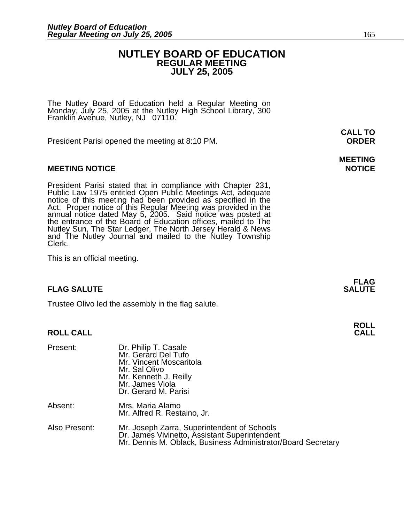### **NUTLEY BOARD OF EDUCATION REGULAR MEETING JULY 25, 2005**

The Nutley Board of Education held a Regular Meeting on Monday, July 25, 2005 at the Nutley High School Library, 300 Franklin Avenue, Nutley, NJ 07110.

President Parisi opened the meeting at 8:10 PM. **ORDER**

#### **MEETING NOTICE NOTICE AND RESERVE ASSESS**

President Parisi stated that in compliance with Chapter 231, Public Law 1975 entitled Open Public Meetings Act, adequate notice of this meeting had been provided as specified in the Act. Proper notice of this Regular Meeti annual notice dated May 5, 2005. Said notice was posted at the entrance of the Board of Education offices, mailed to The Nutley Sun, The Star Ledger, The North Jersey Herald & News and The Nutley Journal and mailed to the Nutley Township Clerk.

This is an official meeting.

#### **FLAG SALUTE SALUTE SALUTE**

Trustee Olivo led the assembly in the flag salute.

#### **ROLL CALL**

| Present:      | Dr. Philip T. Casale<br>Mr. Gerard Del Tufo<br>Mr. Vincent Moscaritola<br>Mr. Sal Olivo<br>Mr. Kenneth J. Reilly<br>Mr. James Viola<br>Dr. Gerard M. Parisi  |
|---------------|--------------------------------------------------------------------------------------------------------------------------------------------------------------|
| Absent:       | Mrs. Maria Alamo<br>Mr. Alfred R. Restaino, Jr.                                                                                                              |
| Also Present: | Mr. Joseph Zarra, Superintendent of Schools<br>Dr. James Vivinetto, Assistant Superintendent<br>Mr. Dennis M. Oblack, Business Administrator/Board Secretary |

**CALL TO** 

# **MEETING**

**FLAG** 

**ROLL**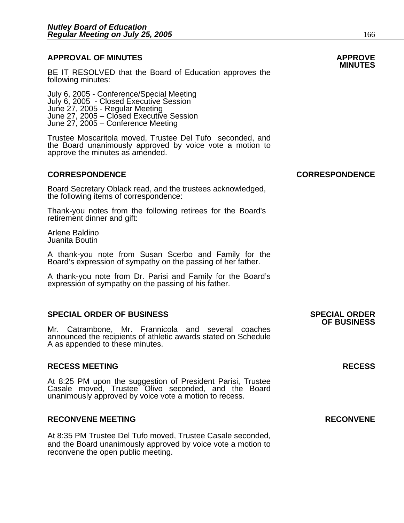### **APPROVAL OF MINUTES APPROVE**

BE IT RESOLVED that the Board of Education approves the following minutes:

July 6, 2005 - Conference/Special Meeting July 6, 2005 - Closed Executive Session June 27, 2005 - Regular Meeting June 27, 2005 – Closed Executive Session June 27, 2005 – Conference Meeting

Trustee Moscaritola moved, Trustee Del Tufo seconded, and the Board unanimously approved by voice vote a motion to approve the minutes as amended.

#### **CORRESPONDENCE CORRESPONDENCE**

Board Secretary Oblack read, and the trustees acknowledged, the following items of correspondence:

Thank-you notes from the following retirees for the Board's retirement dinner and gift:

Arlene Baldino Juanita Boutin

A thank-you note from Susan Scerbo and Family for the Board's expression of sympathy on the passing of her father.

A thank-you note from Dr. Parisi and Family for the Board's expression of sympathy on the passing of his father.

#### **SPECIAL ORDER OF BUSINESS SPECIAL ORDER**

Mr. Catrambone, Mr. Frannicola and several coaches announced the recipients of athletic awards stated on Schedule A as appended to these minutes.

#### **RECESS MEETING RECESS**

At 8:25 PM upon the suggestion of President Parisi, Trustee Casale moved, Trustee Olivo seconded, and the Board unanimously approved by voice vote a motion to recess.

#### **RECONVENE MEETING RECONVENE**

At 8:35 PM Trustee Del Tufo moved, Trustee Casale seconded, and the Board unanimously approved by voice vote a motion to reconvene the open public meeting.

# **OF BUSINESS**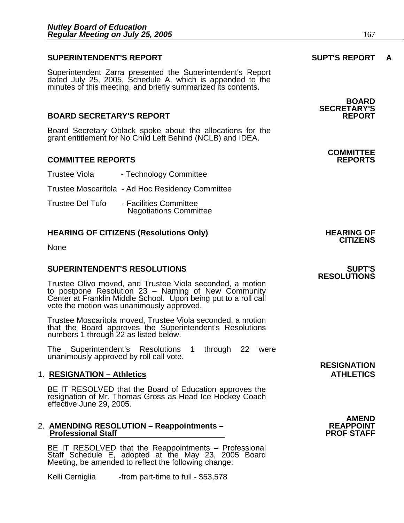#### **SUPERINTENDENT'S REPORT SUPT'S REPORT A**

Superintendent Zarra presented the Superintendent's Report dated July 25, 2005, Schedule A, which is appended to the minutes of this meeting, and briefly summarized its contents.

#### **BOARD SECRETARY'S REPORT**

Board Secretary Oblack spoke about the allocations for the grant entitlement for No Child Left Behind (NCLB) and IDEA.

#### **COMMITTEE REPORTS REPORTS**

| Trustee Viola    | - Technology Committee                                  |
|------------------|---------------------------------------------------------|
|                  | Trustee Moscaritola - Ad Hoc Residency Committee        |
| Trustee Del Tufo | - Facilities Committee<br><b>Negotiations Committee</b> |

### **HEARING OF CITIZENS (Resolutions Only) HEARING OF CITIZENS**

None

#### **SUPERINTENDENT'S RESOLUTIONS SUPT'S**

Trustee Olivo moved, and Trustee Viola seconded, a motion to postpone Resolution 23 – Naming of New Community Center at Franklin Middle School. Upon being put to a roll call vote the motion was unanimously approved.

Trustee Moscaritola moved, Trustee Viola seconded, a motion that the Board approves the Superintendent's Resolutions numbers 1 through 22 as listed below.

The Superintendent's Resolutions 1 through 22 were unanimously approved by roll call vote.

#### 1. **RESIGNATION – Athletics** ATHLETICS

BE IT RESOLVED that the Board of Education approves the<br>resignation of Mr. Thomas Gross as Head Ice Hockey Coach effective June 29, 2005.

## 2. **AMENDING RESOLUTION – Reappointments – REAPPOINT Professional Staff PROF STAFF**

BE IT RESOLVED that the Reappointments – Professional Staff Schedule E, adopted at the May 23, 2005 Board Meeting, be amended to reflect the following change:

Kelli Cerniglia -from part-time to full - \$53,578

**BOARD SECRETARY'S** 

## **COMMITTEE**

# **RESOLUTIONS**

**RESIGNATION**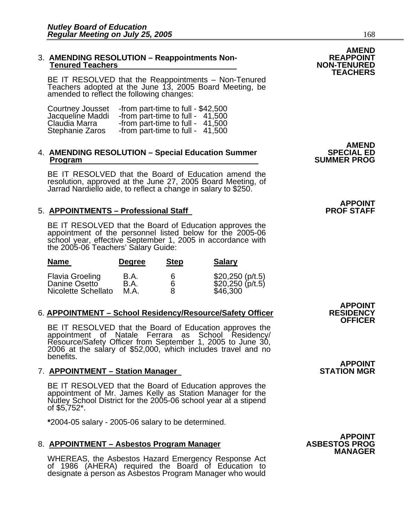#### 3. **AMENDING RESOLUTION – Reappointments Non- REAPPOINT Tenured Teachers**

BE IT RESOLVED that the Reappointments – Non-Tenured Teachers adopted at the June 13, 2005 Board Meeting, be amended to reflect the following changes:

| Courtney Jousset | -from part-time to full - \$42,500 |  |
|------------------|------------------------------------|--|
| Jacqueline Maddi | -from part-time to full - 41,500   |  |
| Claudia Marra    | -from part-time to full - $41,500$ |  |
| Stephanie Zaros  | -from part-time to full - 41,500   |  |

## 4. AMENDING RESOLUTION – Special Education Summer<br>Program

BE IT RESOLVED that the Board of Education amend the resolution, approved at the June 27, 2005 Board Meeting, of<br>Jarrad Nardiello aide, to reflect a change in salary to \$250.

#### 5. **APPOINTMENTS – Professional Staff**

BE IT RESOLVED that the Board of Education approves the<br>appointment of the personnel listed below for the 2005-06<br>school year, effective September 1, 2005 in accordance with the 2005-06 Teachers' Salary Guide:

| <b>Name</b>                                                    | <b>Degree</b>        | <b>Step</b> | <b>Salary</b>                                    |
|----------------------------------------------------------------|----------------------|-------------|--------------------------------------------------|
| <b>Flavia Groeling</b><br>Danine Osetto<br>Nicolette Schellato | B.A.<br>B.A.<br>M.A. | 6<br>8      | \$20,250 (p/t.5)<br>\$20,250 (p/t.5)<br>\$46,300 |

#### 6. **APPOINTMENT – School Residency/Resource/Safety Officer**

BE IT RESOLVED that the Board of Education approves the appointment of Natale Ferrara as School Residency/ Resource/Safety Officer from September 1, 2005 to June 30, 2006 at the salary of \$52,000, which includes travel and no benefits.

#### 7. **APPOINTMENT - Station Manager**

BE IT RESOLVED that the Board of Education approves the appointment of Mr. James Kelly as Station Manager for the Nutley School District for the 2005-06 school year at a stipend of \$5,752\*.

**\***2004-05 salary - 2005-06 salary to be determined.

#### 8. **APPOINTMENT - Asbestos Program Manager**

WHEREAS, the Asbestos Hazard Emergency Response Act of 1986 (AHERA) required the Board of Education to designate a person as Asbestos Program Manager who would

**AMEND<br>SPECIAL ED SUMMER PROG** 

## **APPOINT<br>PROF STAFF**

**APPOINT OFFICER** 

## **APPOINT<br>STATION MGR**



**AMEND<br>REAPPOINT** 

**TEACHERS**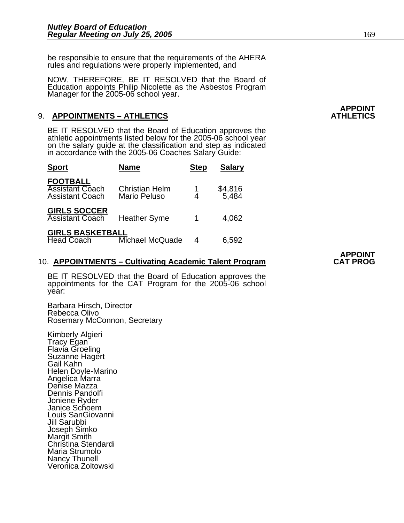be responsible to ensure that the requirements of the AHERA rules and regulations were properly implemented, and

NOW, THEREFORE, BE IT RESOLVED that the Board of Education appoints Philip Nicolette as the Asbestos Program Manager for the 2005-06 school year.

### 9. **APPOINTMENTS - ATHLETICS**

BE IT RESOLVED that the Board of Education approves the athletic appointments listed below for the 2005-06 school year on the salary guide at the classification and step as indicated in accordance with the 2005-06 Coaches

| <b>Sport</b>                                                        | <b>Name</b>                           | <b>Step</b> | <b>Salary</b>    |
|---------------------------------------------------------------------|---------------------------------------|-------------|------------------|
| <b>FOOTBALL</b><br><b>Assistant Coach</b><br><b>Assistant Coach</b> | <b>Christian Helm</b><br>Mario Peluso | 4           | \$4,816<br>5,484 |
| <b>GIRLS SOCCER</b><br><b>Assistant Coach</b>                       | <b>Heather Syme</b>                   |             | 4,062            |
| <b>GIRLS BASKETBALL</b><br><b>Head Coach</b>                        | Michael McQuade                       | 4           | 6,592            |

#### 10. **APPOINTMENTS – Cultivating Academic Talent Program**

BE IT RESOLVED that the Board of Education approves the appointments for the CAT Program for the 2005-06 school year:

Barbara Hirsch, Director Rebecca Olivo Rosemary McConnon, Secretary

Kimberly Algieri Tracy Egan Flavia Groeling Suzanne Hagert Gail Kahn Helen Doyle-Marino Angelica Marra Denise Mazza Dennis Pandolfi Joniene Ryder Janice Schoem Louis SanGiovanni Jill Sarubbi Joseph Simko Margit Smith Christina Stendardi Maria Strumolo Nancy Thunell Veronica Zoltowski

**APPOINT**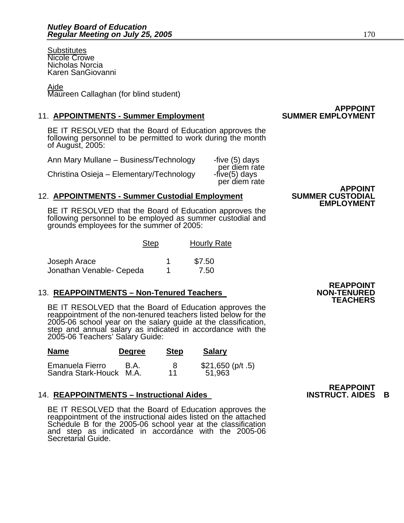**Substitutes** Nicole Crowe Nicholas Norcia Karen SanGiovanni

#### Aide

Maureen Callaghan (for blind student)

#### 11. **APPOINTMENTS - Summer Employment**

BE IT RESOLVED that the Board of Education approves the following personnel to be permitted to work during the month of August, 2005:

| Ann Mary Mullane - Business/Technology   | -five (5) days                                 |
|------------------------------------------|------------------------------------------------|
| Christina Osieja – Elementary/Technology | per diem rate<br>five(5) days<br>per diem rate |

### **12. APPOINTMENTS - Summer Custodial Employment**

BE IT RESOLVED that the Board of Education approves the following personnel to be employed as summer custodial and grounds employees for the summer of 2005:

|                          | <b>Step</b> | <b>Hourly Rate</b> |  |
|--------------------------|-------------|--------------------|--|
| Joseph Arace             |             | \$7.50             |  |
| Jonathan Venable- Cepeda |             | 7.50               |  |

#### 13. **REAPPOINTMENTS - Non-Tenured Teachers**

BE IT RESOLVED that the Board of Education approves the reappointment of the non-tenured teachers listed below for the 2005-06 school year on the salary guide at the classification, step and annual salary as indicated in accordance with the 2005-06 Teachers' Salary Guide:

| <b>Name</b>             | <b>Degree</b> | <b>Step</b> | <b>Salary</b>      |
|-------------------------|---------------|-------------|--------------------|
| Emanuela Fierro         | B.A.          | 8           | $$21,650$ (p/t .5) |
| Sandra Stark-Houck M.A. |               | 11          | 51,963             |

### 14. **REAPPOINTMENTS – Instructional Aides**

BE IT RESOLVED that the Board of Education approves the reappointment of the instructional aides listed on the attached Schedule B for the 2005-06 school year at the classification and step as indicated in accordance with the 2005-06 Secretarial Guide.

**APPOINT<br>SUMMER CUSTODIAL EMPLOYMENT** 

**APPPOINT<br>SUMMER EMPLOYMENT** 

### **REAPPOINT TEACHERS**

**REAPPOINT<br>INSTRUCT, AIDES B**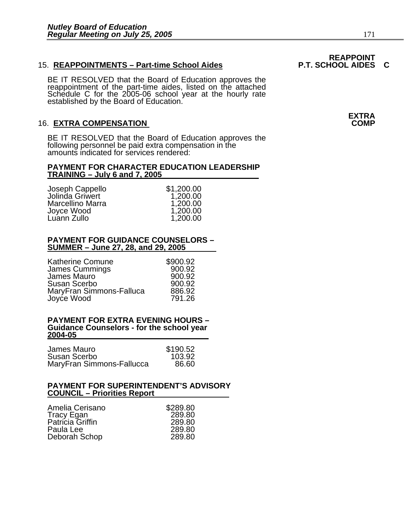#### 15. REAPPOINTMENTS - Part-time School Aides

BE IT RESOLVED that the Board of Education approves the reappointment of the part-time aides, listed on the attached Schedule C for the 2005-06 school year at the hourly rate<br>established by the Board of Education.

#### **16. EXTRA COMPENSATION**

BE IT RESOLVED that the Board of Education approves the following personnel be paid extra compensation in the amounts indicated for services rendered:

#### **PAYMENT FOR CHARACTER EDUCATION LEADERSHIP TRAINING – July 6 and 7, 2005**

Joseph Cappello  $$1,200.00$ <br>Jolinda Griwert  $1,200.00$ Jolinda Griwert 1,200.00<br>Marcellino Marra 1,200.00 Marcellino Marra 1,200.00<br>Joyce Wood 1,200.00 Joyce Wood 1,200.00 Luann Zullo

#### **PAYMENT FOR GUIDANCE COUNSELORS – SUMMER – June 27, 28, and 29, 2005**

| <b>Katherine Comune</b>  | \$900.92 |
|--------------------------|----------|
| <b>James Cummings</b>    | 900.92   |
| James Mauro              | 900.92   |
| Susan Scerbo             | 900.92   |
| MaryFran Simmons-Falluca | 886.92   |
| Joyce Wood               | 791.26   |

#### **PAYMENT FOR EXTRA EVENING HOURS – Guidance Counselors - for the school year 2004-05**

| James Mauro               | \$190.52 |
|---------------------------|----------|
| Susan Scerbo              | 103.92   |
| MaryFran Simmons-Fallucca | 86.60    |

#### **PAYMENT FOR SUPERINTENDENT'S ADVISORY COUNCIL – Priorities Report**

**EXTRA**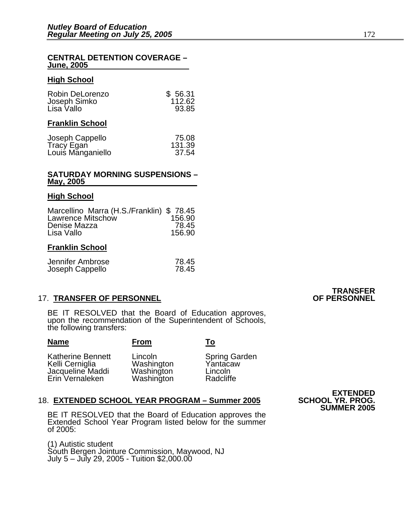#### **CENTRAL DETENTION COVERAGE – June, 2005**

#### **High School**

| Robin DeLorenzo | \$56.31 |
|-----------------|---------|
| Joseph Simko    | 112.62  |
| Lisa Vallo      | 93.85   |
|                 |         |

#### **Franklin School**

| Joseph Cappello   | 75.08  |
|-------------------|--------|
| Tracy Egan        | 131.39 |
| Louis Manganiello | 37.54  |

#### **SATURDAY MORNING SUSPENSIONS – May, 2005**

#### **High School**

| Marcellino Marra (H.S./Franklin) \$78.45 |        |
|------------------------------------------|--------|
| Lawrence Mitschow                        | 156.90 |
| Denise Mazza                             | 78.45  |
| Lisa Vallo                               | 156.90 |

#### **Franklin School**

| Jennifer Ambrose | 78.45 |
|------------------|-------|
| Joseph Cappello  | 78.45 |

#### **17. TRANSFER OF PERSONNEL**

BE IT RESOLVED that the Board of Education approves, upon the recommendation of the Superintendent of Schools, the following transfers:

| <b>Name</b>                                                                        | <b>From</b>                                       | То                                                       |
|------------------------------------------------------------------------------------|---------------------------------------------------|----------------------------------------------------------|
| <b>Katherine Bennett</b><br>Kelli Cerniglia<br>Jacqueline Maddi<br>Erin Vernaleken | Lincoln<br>Washington<br>Washington<br>Washington | <b>Spring Garden</b><br>Yantacaw<br>Lincoln<br>Radcliffe |

#### 18. **EXTENDED SCHOOL YEAR PROGRAM - Summer 2005**

BE IT RESOLVED that the Board of Education approves the Extended School Year Program listed below for the summer of 2005:

(1) Autistic student South Bergen Jointure Commission, Maywood, NJ July 5 – July 29, 2005 - Tuition \$2,000.00

# **TRANSFER<br>OF PERSONNEL**

**EXTENDED**<br>**SCHOOL YR. PROG. SUMMER 2005**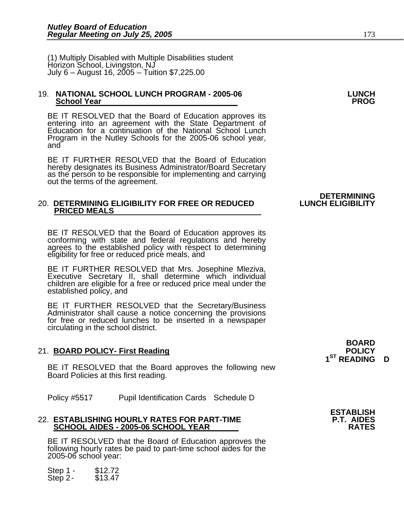(1) Multiply Disabled with Multiple Disabilities student Horizon School, Livingston, NJ July 6 – August 16, 2005 – Tuition \$7,225.00

#### 19. **NATIONAL SCHOOL LUNCH PROGRAM - 2005-06 LUNCH School Year**

BE IT RESOLVED that the Board of Education approves its entering into an agreement with the State Department of Education for a continuation of the National School Lunch Program in the Nutley Schools for the 2005-06 school year, and

BE IT FURTHER RESOLVED that the Board of Education hereby designates its Business Administrator/Board Secretary as the person to be responsible for implementing and carrying out the terms of the agreement.

#### **20. DETERMINING ELIGIBILITY FOR FREE OR REDUCED PRICED MEALS**

BE IT RESOLVED that the Board of Education approves its conforming with state and federal regulations and hereby agrees to the established policy with respect to determining eligibility for free or reduced price meals, and

BE IT FURTHER RESOLVED that Mrs. Josephine Mleziva,<br>Executive Secretary II, shall determine which individual children are eligible for a free or reduced price meal under the established policy, and

BE IT FURTHER RESOLVED that the Secretary/Business Administrator shall cause a notice concerning the provisions for free or reduced lunches to be inserted in a newspaper circulating in the school district.

### 21. **BOARD POLICY- First Reading**

BE IT RESOLVED that the Board approves the following new Board Policies at this first reading.

Policy #5517 Pupil Identification Cards Schedule D

#### 22. **ESTABLISHING HOURLY RATES FOR PART-TIME SCHOOL AIDES - 2005-06 SCHOOL YEAR RATES**

BE IT RESOLVED that the Board of Education approves the following hourly rates be paid to part-time school aides for the 2005-06 school year:

Step 1 - \$12.72 Step 2- \$13.47 **BOARD** 

**1ST READING D** 

## **DETERMINING<br>LUNCH ELIGIBILITY**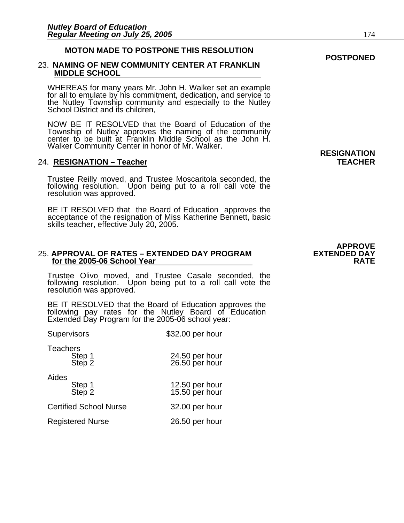#### **MOTON MADE TO POSTPONE THIS RESOLUTION**

#### 23. **NAMING OF NEW COMMUNITY CENTER AT FRANKLIN MIDDLE SCHOOL**

WHEREAS for many years Mr. John H. Walker set an example for all to emulate by his commitment, dedication, and service to the Nutley Township community and especially to the Nutley School District and its children,

NOW BE IT RESOLVED that the Board of Education of the Township of Nutley approves the naming of the community center to be built at Franklin Middle School as the John H. Walker Community Center in honor of Mr. Walker.

#### 24. **RESIGNATION – Teacher TEACHER**

Trustee Reilly moved, and Trustee Moscaritola seconded, the following resolution. Upon being put to a roll call vote the resolution was approved.

BE IT RESOLVED that the Board of Education approves the acceptance of the resignation of Miss Katherine Bennett, basic skills teacher, effective July 20, 2005.

#### 25. **APPROVAL OF RATES – EXTENDED DAY PROGRAM EXTENDED DAY for the 2005-06 School Year RATE RATE**

Trustee Olivo moved, and Trustee Casale seconded, the following resolution. Upon being put to a roll call vote the resolution was approved.

BE IT RESOLVED that the Board of Education approves the following pay rates for the Nutley Board of Education Extended Day Program for the 2005-06 school year:

| Supervisors                         | \$32.00 per hour                 |
|-------------------------------------|----------------------------------|
| <b>Teachers</b><br>Step 1<br>Step 2 | 24.50 per hour<br>26.50 per hour |
| Aides<br>Step 1<br>Step 2           | 12.50 per hour<br>15.50 per hour |
| <b>Certified School Nurse</b>       | 32.00 per hour                   |
| <b>Registered Nurse</b>             | 26.50 per hour                   |

**RESIGNATION** 

# **APPROVE**<br>**EXTENDED DAY**

#### **POSTPONED**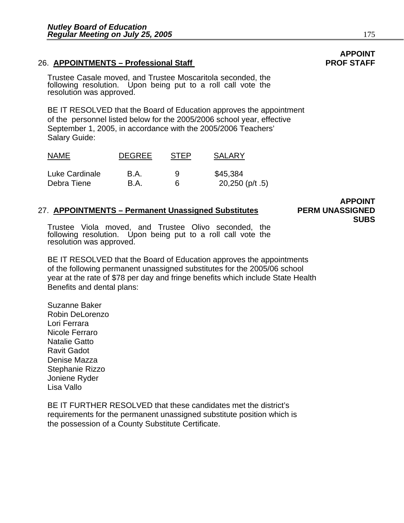### 26. APPOINTMENTS – Professional Staff **PROF STAFF** PROF STAFF

Trustee Casale moved, and Trustee Moscaritola seconded, the following resolution. Upon being put to a roll call vote the resolution was approved.

BE IT RESOLVED that the Board of Education approves the appointment of the personnel listed below for the 2005/2006 school year, effective September 1, 2005, in accordance with the 2005/2006 Teachers' Salary Guide:

| <b>NAME</b>    | <b>DEGREE</b> | <b>STEP</b> | <b>SALARY</b>      |
|----------------|---------------|-------------|--------------------|
| Luke Cardinale | B.A.          | Q           | \$45,384           |
| Debra Tiene    | - B.A.        |             | 20,250 ( $p/t$ .5) |

#### 27. **APPOINTMENTS – Permanent Unassigned Substitutes PERM UNASSIGNED**

**APPOINT SUBS** 

Trustee Viola moved, and Trustee Olivo seconded, the following resolution. Upon being put to a roll call vote the resolution was approved.

BE IT RESOLVED that the Board of Education approves the appointments of the following permanent unassigned substitutes for the 2005/06 school year at the rate of \$78 per day and fringe benefits which include State Health Benefits and dental plans:

Suzanne Baker Robin DeLorenzo Lori Ferrara Nicole Ferraro Natalie Gatto Ravit Gadot Denise Mazza Stephanie Rizzo Joniene Ryder Lisa Vallo

BE IT FURTHER RESOLVED that these candidates met the district's requirements for the permanent unassigned substitute position which is the possession of a County Substitute Certificate.

# **APPOINT**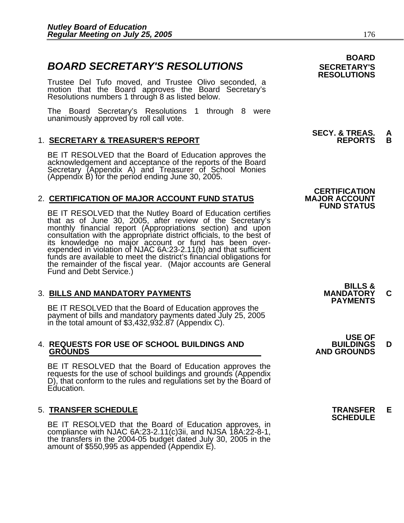### **BOARD SECRETARY'S RESOLUTIONS** SECRETARY'S

Trustee Del Tufo moved, and Trustee Olivo seconded, a motion that the Board approves the Board Secretary's Resolutions numbers 1 through 8 as listed below.

The Board Secretary's Resolutions 1 through 8 were unanimously approved by roll call vote.

### 1. **SECRETARY & TREASURER'S REPORT REPORTS B**

BE IT RESOLVED that the Board of Education approves the acknowledgement and acceptance of the reports of the Board Secretary (Appendix A) and Treasurer of School Monies (Appendix B) for the period ending June 30, 2005.

### 2. **CERTIFICATION OF MAJOR ACCOUNT FUND STATUS**

BE IT RESOLVED that the Nutley Board of Education certifies that as of June 30, 2005, after review of the Secretary's monthly financial report (Appropriations section) and upon consultation with the appropriate district officials, to the best of its knowledge no major account or fund has been overexpended in violation of NJAC 6A:23-2.11(b) and that sufficient<br>funds are available to meet the district's financial obligations for the remainder of the fiscal year. (Major accounts are General Fund and Debt Service.)

3. BILLS AND MANDATORY PAYMENTS<br>
BE IT RESOLVED that the Board of Education approves the **PAYMENTS** payment of bills and mandatory payments dated July 25, 2005 in the total amount of \$3,432,932.87 (Appendix C).

# 4. **REQUESTS FOR USE OF SCHOOL BUILDINGS AND BUILDINGS D**

BE IT RESOLVED that the Board of Education approves the requests for the use of school buildings and grounds (Appendix D), that conform to the rules and regulations set by the Board of Education.

5. **TRANSFER SCHEDULE**<br>**BE IT RESOLVED that the Board of Education approves, in SCHEDULE**<br>**BE IT RESOLVED that the Board of Education approves, in** BE IT RESOLVED THAT COMPLIANC CONSISTENT APPROVED that the Board of SSS0,995 as appended (Appendix E).

### **BOARD RESOLUTIONS**

## **SECY. & TREAS. A**<br>REPORTS B

### **CERTIFICATION FUND STATUS**

**BILLS &** 

 **USE OF GROUNDS AND GROUNDS**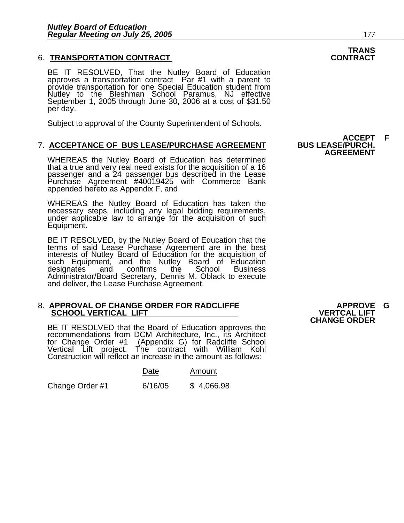#### 6. **TRANSPORTATION CONTRACT CONTRACT**

BE IT RESOLVED, That the Nutley Board of Education approves a transportation contract Par #1 with a parent to provide transportation for one Special Education student from<br>Nutley to the Bleshman School Paramus, NJ effective September 1, 2005 through June 30, 2006 at a cost of \$31.50 per day.

Subject to approval of the County Superintendent of Schools.

#### 7. ACCEPTANCE OF BUS LEASE/PURCHASE AGREEMENT

WHEREAS the Nutley Board of Education has determined that a true and very real need exists for the acquisition of a 16 that a true and very real need exists for the acquisition of a 16<br>passenger and a 24 passenger bus described in the Lease Purchase Agreement #40019425 with Commerce Bank appended hereto as Appendix F, and

WHEREAS the Nutley Board of Education has taken the necessary steps, including any legal bidding requirements, under applicable law to arrange for the acquisition of such Equipment.

BE IT RESOLVED, by the Nutley Board of Education that the terms of said Lease Purchase Agreement are in the best interests of Nutley Board of Education for the acquisition of such Equipment, and the Nutley Board of Education<br>designates and confirms the School Business designates Administrator/Board Secretary, Dennis M. Oblack to execute and deliver, the Lease Purchase Agreement.

## 8. **APPROVAL OF CHANGE ORDER FOR RADCLIFFE APPROVE G SCHOOL VERTICAL LIFT VERTCAL LIFT**

BE IT RESOLVED that the Board of Education approves the recommendations from DCM Architecture, Inc., its Architect for Change Order #1 (Appendix G) for Radcliffe School Vertical Lift project. The contract with William Kohl Construction will reflect an increase in the amount as follows:

| Date | Amount |
|------|--------|
|      |        |

Change Order #1 6/16/05 \$ 4,066.98

**CHANGE ORDER** 

# **TRANS**

**ACCEPT F**<br>BUS LEASE/PURCH. **AGREEMENT**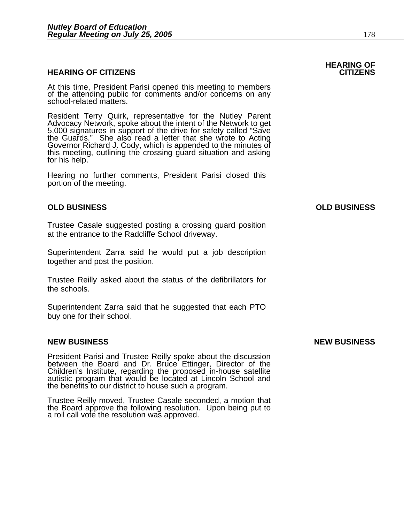#### **HEARING OF CITIZENS CITIZENS**

At this time, President Parisi opened this meeting to members of the attending public for comments and/or concerns on any school-related matters.

Resident Terry Quirk, representative for the Nutley Parent Advocacy Network, spoke about the intent of the Network to get 5,000 signatures in support of the drive for safety called "Save the Guards." She also read a letter Governor Richard J. Cody, which is appended to the minutes of this meeting, outlining the crossing guard situation and asking for his help.

Hearing no further comments, President Parisi closed this portion of the meeting.

#### **OLD BUSINESS OLD BUSINESS**

Trustee Casale suggested posting a crossing guard position at the entrance to the Radcliffe School driveway.

Superintendent Zarra said he would put a job description together and post the position.

Trustee Reilly asked about the status of the defibrillators for the schools.

Superintendent Zarra said that he suggested that each PTO buy one for their school.

#### **NEW BUSINESS NEW BUSINESS**

President Parisi and Trustee Reilly spoke about the discussion<br>between the Board and Dr. Bruce Ettinger, Director of the<br>Children's Institute, regarding the proposed in-house satellite<br>autistic program that would be locate the benefits to our district to house such a program.

Trustee Reilly moved, Trustee Casale seconded, a motion that the Board approve the following resolution. Upon being put to a roll call vote the resolution was approved.

### **HEARING OF**